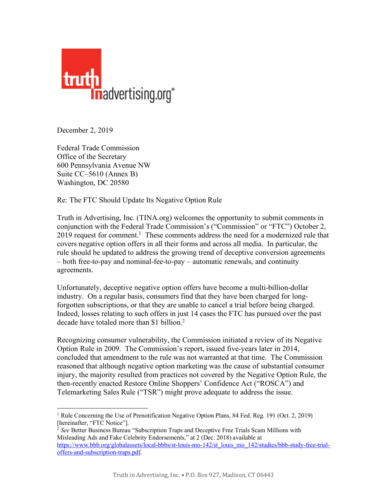

December 2, 2019

Federal Trade Commission Office of the Secretary 600 Pennsylvania Avenue NW Suite CC–5610 (Annex B) Washington, DC 20580

Re: The FTC Should Update Its Negative Option Rule

Truth in Advertising, Inc. (TINA.org) welcomes the opportunity to submit comments in conjunction with the Federal Trade Commission's ("Commission" or "FTC") October 2, 2019 request for comment.<sup>1</sup> These comments address the need for a modernized rule that covers negative option offers in all their forms and across all media. In particular, the rule should be updated to address the growing trend of deceptive conversion agreements – both free-to-pay and nominal-fee-to-pay – automatic renewals, and continuity agreements.

Unfortunately, deceptive negative option offers have become a multi-billion-dollar industry. On a regular basis, consumers find that they have been charged for longforgotten subscriptions, or that they are unable to cancel a trial before being charged. Indeed, losses relating to such offers in just 14 cases the FTC has pursued over the past decade have totaled more than \$1 billion.<sup>2</sup>

Recognizing consumer vulnerability, the Commission initiated a review of its Negative Option Rule in 2009. The Commission's report, issued five-years later in 2014, concluded that amendment to the rule was not warranted at that time. The Commission reasoned that although negative option marketing was the cause of substantial consumer injury, the majority resulted from practices not covered by the Negative Option Rule, the then-recently enacted Restore Online Shoppers' Confidence Act ("ROSCA") and Telemarketing Sales Rule ("TSR") might prove adequate to address the issue.

 <sup>1</sup> Rule Concerning the Use of Prenotification Negative Option Plans, 84 Fed. Reg. 191 (Oct. 2, 2019) [hereinafter, "FTC Notice"].

<sup>2</sup> *See* Better Business Bureau "Subscription Traps and Deceptive Free Trials Scam Millions with Misleading Ads and Fake Celebrity Endorsements," at 2 (Dec. 2018) available at https://www.bbb.org/globalassets/local-bbbs/st-louis-mo-142/st\_louis\_mo\_142/studies/bbb-study-free-trialoffers-and-subscription-traps.pdf.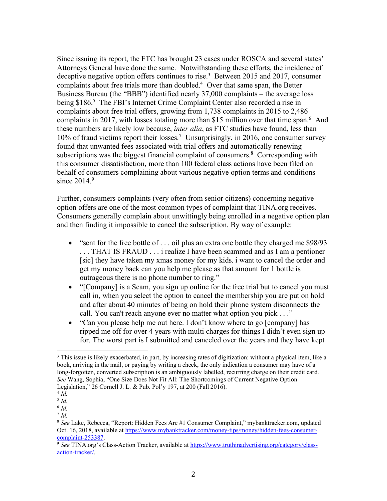Since issuing its report, the FTC has brought 23 cases under ROSCA and several states' Attorneys General have done the same. Notwithstanding these efforts, the incidence of deceptive negative option offers continues to rise. 3 Between 2015 and 2017, consumer complaints about free trials more than doubled. $4$  Over that same span, the Better Business Bureau (the "BBB") identified nearly 37,000 complaints – the average loss being \$186.<sup>5</sup> The FBI's Internet Crime Complaint Center also recorded a rise in complaints about free trial offers, growing from 1,738 complaints in 2015 to 2,486 complaints in 2017, with losses totaling more than \$15 million over that time span. 6 And these numbers are likely low because, *inter alia*, as FTC studies have found, less than 10% of fraud victims report their losses.<sup>7</sup> Unsurprisingly, in 2016, one consumer survey found that unwanted fees associated with trial offers and automatically renewing subscriptions was the biggest financial complaint of consumers.<sup>8</sup> Corresponding with this consumer dissatisfaction, more than 100 federal class actions have been filed on behalf of consumers complaining about various negative option terms and conditions since  $2014.9$ 

Further, consumers complaints (very often from senior citizens) concerning negative option offers are one of the most common types of complaint that TINA.org receives. Consumers generally complain about unwittingly being enrolled in a negative option plan and then finding it impossible to cancel the subscription. By way of example:

- "sent for the free bottle of . . . oil plus an extra one bottle they charged me \$98/93 . . . THAT IS FRAUD . . . i realize I have been scammed and as I am a pentioner [sic] they have taken my xmas money for my kids. i want to cancel the order and get my money back can you help me please as that amount for 1 bottle is outrageous there is no phone number to ring."
- "[Company] is a Scam, you sign up online for the free trial but to cancel you must call in, when you select the option to cancel the membership you are put on hold and after about 40 minutes of being on hold their phone system disconnects the call. You can't reach anyone ever no matter what option you pick . . ."
- "Can you please help me out here. I don't know where to go [company] has ripped me off for over 4 years with multi charges for things I didn't even sign up for. The worst part is I submitted and canceled over the years and they have kept

<sup>&</sup>lt;sup>3</sup> This issue is likely exacerbated, in part, by increasing rates of digitization: without a physical item, like a book, arriving in the mail, or paying by writing a check, the only indication a consumer may have of a long-forgotten, converted subscription is an ambiguously labelled, recurring charge on their credit card. *See* Wang, Sophia, "One Size Does Not Fit All: The Shortcomings of Current Negative Option Legislation," 26 Cornell J. L. & Pub. Pol'y 197, at 200 (Fall 2016). 4 *Id.*

<sup>5</sup> *Id.*

<sup>6</sup> *Id.*

<sup>7</sup> *Id.*

<sup>8</sup> *See* Lake, Rebecca, "Report: Hidden Fees Are #1 Consumer Complaint," mybanktracker.com, updated Oct. 16, 2018, available at https://www.mybanktracker.com/money-tips/money/hidden-fees-consumercomplaint-253387.

<sup>9</sup> *See* TINA.org's Class-Action Tracker, available at https://www.truthinadvertising.org/category/classaction-tracker/.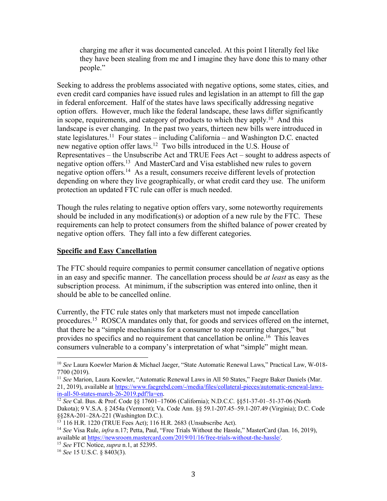charging me after it was documented canceled. At this point I literally feel like they have been stealing from me and I imagine they have done this to many other people."

Seeking to address the problems associated with negative options, some states, cities, and even credit card companies have issued rules and legislation in an attempt to fill the gap in federal enforcement. Half of the states have laws specifically addressing negative option offers. However, much like the federal landscape, these laws differ significantly in scope, requirements, and category of products to which they apply.10 And this landscape is ever changing. In the past two years, thirteen new bills were introduced in state legislatures.<sup>11</sup> Four states – including California – and Washington D.C. enacted new negative option offer laws.12 Two bills introduced in the U.S. House of Representatives – the Unsubscribe Act and TRUE Fees Act – sought to address aspects of negative option offers.13 And MasterCard and Visa established new rules to govern negative option offers.<sup>14</sup> As a result, consumers receive different levels of protection depending on where they live geographically, or what credit card they use. The uniform protection an updated FTC rule can offer is much needed.

Though the rules relating to negative option offers vary, some noteworthy requirements should be included in any modification(s) or adoption of a new rule by the FTC. These requirements can help to protect consumers from the shifted balance of power created by negative option offers. They fall into a few different categories.

## **Specific and Easy Cancellation**

The FTC should require companies to permit consumer cancellation of negative options in an easy and specific manner. The cancellation process should be *at least* as easy as the subscription process. At minimum, if the subscription was entered into online, then it should be able to be cancelled online.

Currently, the FTC rule states only that marketers must not impede cancellation procedures.<sup>15</sup> ROSCA mandates only that, for goods and services offered on the internet, that there be a "simple mechanisms for a consumer to stop recurring charges," but provides no specifics and no requirement that cancellation be online.16 This leaves consumers vulnerable to a company's interpretation of what "simple" might mean.

 <sup>10</sup> *See* Laura Koewler Marion & Michael Jaeger, "State Automatic Renewal Laws," Practical Law, W-018- 7700 (2019).

<sup>11</sup> *See* Marion, Laura Koewler, "Automatic Renewal Laws in All 50 States," Faegre Baker Daniels (Mar. 21, 2019), available at https://www.faegrebd.com/-/media/files/collateral-pieces/automatic-renewal-lawsin-all-50-states-march-26-2019.pdf?la=en.

<sup>12</sup> *See* Cal. Bus. & Prof. Code §§ 17601–17606 (California); N.D.C.C. §§51-37-01–51-37-06 (North Dakota); 9 V.S.A. § 2454a (Vermont); Va. Code Ann. §§ 59.1-207.45–59.1-207.49 (Virginia); D.C. Code §§28A-201–28A-221 (Washington D.C.).<br><sup>13</sup> 116 H.R. 1220 (TRUE Fees Act); 116 H.R. 2683 (Unsubscribe Act).

<sup>14</sup> *See* Visa Rule, *infra* n.17; Petta, Paul, "Free Trials Without the Hassle," MasterCard (Jan. 16, 2019), available at https://newsroom.mastercard.com/2019/01/16/free-trials-without-the-hassle/. 15 *See* FTC Notice, *supra* n.1, at 52395. 16 *See* 15 U.S.C. § 8403(3).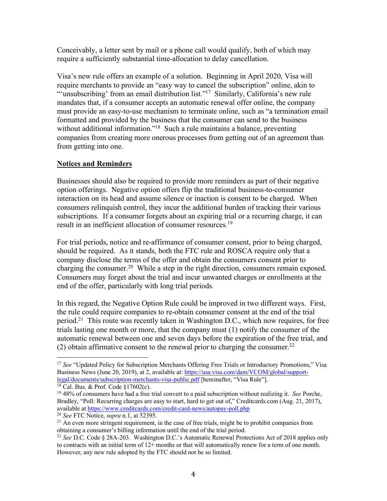Conceivably, a letter sent by mail or a phone call would qualify, both of which may require a sufficiently substantial time-allocation to delay cancellation.

Visa's new rule offers an example of a solution. Beginning in April 2020, Visa will require merchants to provide an "easy way to cancel the subscription" online, akin to "'unsubscribing' from an email distribution list."<sup>17</sup> Similarly, California's new rule mandates that, if a consumer accepts an automatic renewal offer online, the company must provide an easy-to-use mechanism to terminate online, such as "a termination email formatted and provided by the business that the consumer can send to the business without additional information."<sup>18</sup> Such a rule maintains a balance, preventing companies from creating more onerous processes from getting out of an agreement than from getting into one.

## **Notices and Reminders**

Businesses should also be required to provide more reminders as part of their negative option offerings. Negative option offers flip the traditional business-to-consumer interaction on its head and assume silence or inaction is consent to be charged. When consumers relinquish control, they incur the additional burden of tracking their various subscriptions. If a consumer forgets about an expiring trial or a recurring charge, it can result in an inefficient allocation of consumer resources.<sup>19</sup>

For trial periods, notice and re-affirmance of consumer consent, prior to being charged, should be required. As it stands, both the FTC rule and ROSCA require only that a company disclose the terms of the offer and obtain the consumers consent prior to charging the consumer.20 While a step in the right direction, consumers remain exposed. Consumers may forget about the trial and incur unwanted charges or enrollments at the end of the offer, particularly with long trial periods.

In this regard, the Negative Option Rule could be improved in two different ways. First, the rule could require companies to re-obtain consumer consent at the end of the trial period.21 This route was recently taken in Washington D.C., which now requires, for free trials lasting one month or more, that the company must (1) notify the consumer of the automatic renewal between one and seven days before the expiration of the free trial, and (2) obtain affirmative consent to the renewal prior to charging the consumer.<sup>22</sup>

<sup>&</sup>lt;sup>17</sup> See "Updated Policy for Subscription Merchants Offering Free Trials or Introductory Promotions," Visa Business News (June 20, 2019), at 2, available at: https://usa.visa.com/dam/VCOM/global/support-<br>legal/documents/subscription-merchants-visa-public.pdf [hereinafter, "Visa Rule"].

<sup>&</sup>lt;sup>18</sup> Cal. Bus. & Prof. Code §17602(c).<br><sup>19</sup> 48% of consumers have had a free trial convert to a paid subscription without realizing it. *See* Porche, Bradley, "Poll: Recurring charges are easy to start, hard to get out of," Creditcards.com (Aug. 21, 2017), available at https://www.creditcards.com/credit-card-news/autopay-poll.php<sup>20</sup> See FTC Notice, *supra* n.1, at 52395.

<sup>&</sup>lt;sup>21</sup> An even more stringent requirement, in the case of free trials, might be to prohibit companies from obtaining a consumer's billing information until the end of the trial period.

<sup>22</sup> *See* D.C. Code § 28A-203. Washington D.C.'s Automatic Renewal Protections Act of 2018 applies only to contracts with an initial term of 12+ months or that will automatically renew for a term of one month. However, any new rule adopted by the FTC should not be so limited.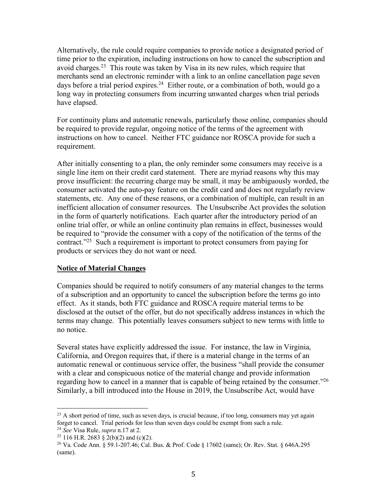Alternatively, the rule could require companies to provide notice a designated period of time prior to the expiration, including instructions on how to cancel the subscription and avoid charges. 23 This route was taken by Visa in its new rules, which require that merchants send an electronic reminder with a link to an online cancellation page seven days before a trial period expires.<sup>24</sup> Either route, or a combination of both, would go a long way in protecting consumers from incurring unwanted charges when trial periods have elapsed.

For continuity plans and automatic renewals, particularly those online, companies should be required to provide regular, ongoing notice of the terms of the agreement with instructions on how to cancel. Neither FTC guidance nor ROSCA provide for such a requirement.

After initially consenting to a plan, the only reminder some consumers may receive is a single line item on their credit card statement. There are myriad reasons why this may prove insufficient: the recurring charge may be small, it may be ambiguously worded, the consumer activated the auto-pay feature on the credit card and does not regularly review statements, etc. Any one of these reasons, or a combination of multiple, can result in an inefficient allocation of consumer resources. The Unsubscribe Act provides the solution in the form of quarterly notifications. Each quarter after the introductory period of an online trial offer, or while an online continuity plan remains in effect, businesses would be required to "provide the consumer with a copy of the notification of the terms of the contract."25 Such a requirement is important to protect consumers from paying for products or services they do not want or need.

## **Notice of Material Changes**

Companies should be required to notify consumers of any material changes to the terms of a subscription and an opportunity to cancel the subscription before the terms go into effect. As it stands, both FTC guidance and ROSCA require material terms to be disclosed at the outset of the offer, but do not specifically address instances in which the terms may change. This potentially leaves consumers subject to new terms with little to no notice.

Several states have explicitly addressed the issue. For instance, the law in Virginia, California, and Oregon requires that, if there is a material change in the terms of an automatic renewal or continuous service offer, the business "shall provide the consumer with a clear and conspicuous notice of the material change and provide information regarding how to cancel in a manner that is capable of being retained by the consumer."26 Similarly, a bill introduced into the House in 2019, the Unsubscribe Act, would have

<sup>&</sup>lt;sup>23</sup> A short period of time, such as seven days, is crucial because, if too long, consumers may yet again forget to cancel. Trial periods for less than seven days could be exempt from such a rule.

<sup>24</sup> *See* Visa Rule, *supra* n.17 at 2.

<sup>&</sup>lt;sup>25</sup> 116 H.R. 2683 § 2(b)(2) and (c)(2).<br><sup>26</sup> Va. Code Ann. § 59.1-207.46; Cal. Bus. & Prof. Code § 17602 (same); Or. Rev. Stat. § 646A.295 (same).